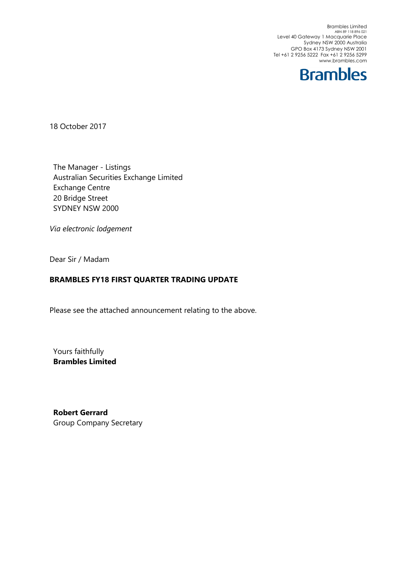Brambles Limited ABN 89 118 896 021 Level 40 Gateway 1 Macquarie Place Sydney NSW 2000 Australia GPO Box 4173 Sydney NSW 2001 Tel +61 2 9256 5222 Fax +61 2 9256 5299 www.brambles.com



18 October 2017

The Manager - Listings Australian Securities Exchange Limited Exchange Centre 20 Bridge Street SYDNEY NSW 2000

*Via electronic lodgement*

Dear Sir / Madam

### **BRAMBLES FY18 FIRST QUARTER TRADING UPDATE**

Please see the attached announcement relating to the above.

Yours faithfully **Brambles Limited**

**Robert Gerrard** Group Company Secretary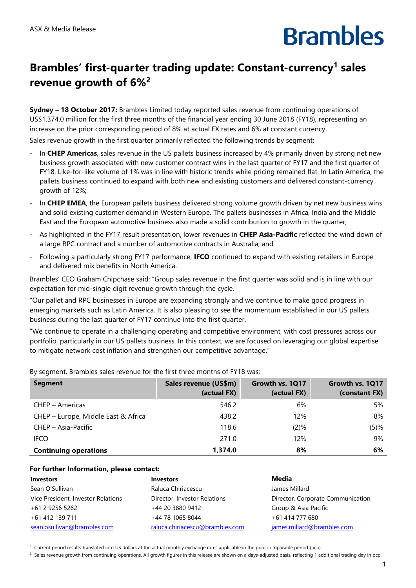# **Brambles**

### **Brambles' first-quarter trading update: Constant-currency<sup>1</sup> sales revenue growth of 6%<sup>2</sup>**

**Sydney – 18 October 2017:** Brambles Limited today reported sales revenue from continuing operations of US\$1,374.0 million for the first three months of the financial year ending 30 June 2018 (FY18), representing an increase on the prior corresponding period of 8% at actual FX rates and 6% at constant currency.

Sales revenue growth in the first quarter primarily reflected the following trends by segment:

- In **CHEP Americas**, sales revenue in the US pallets business increased by 4% primarily driven by strong net new business growth associated with new customer contract wins in the last quarter of FY17 and the first quarter of FY18. Like-for-like volume of 1% was in line with historic trends while pricing remained flat. In Latin America, the pallets business continued to expand with both new and existing customers and delivered constant-currency growth of 12%;
- In **CHEP EMEA**, the European pallets business delivered strong volume growth driven by net new business wins and solid existing customer demand in Western Europe. The pallets businesses in Africa, India and the Middle East and the European automotive business also made a solid contribution to growth in the quarter;
- As highlighted in the FY17 result presentation, lower revenues in **CHEP Asia-Pacific** reflected the wind down of a large RPC contract and a number of automotive contracts in Australia; and
- Following a particularly strong FY17 performance, **IFCO** continued to expand with existing retailers in Europe and delivered mix benefits in North America.

Brambles' CEO Graham Chipchase said: "Group sales revenue in the first quarter was solid and is in line with our expectation for mid-single digit revenue growth through the cycle.

"Our pallet and RPC businesses in Europe are expanding strongly and we continue to make good progress in emerging markets such as Latin America. It is also pleasing to see the momentum established in our US pallets business during the last quarter of FY17 continue into the first quarter.

"We continue to operate in a challenging operating and competitive environment, with cost pressures across our portfolio, particularly in our US pallets business. In this context, we are focused on leveraging our global expertise to mitigate network cost inflation and strengthen our competitive advantage."

| <b>Segment</b>                      | Sales revenue (US\$m)<br>(actual FX) | Growth vs. 1Q17<br>(actual FX) | Growth vs. 1Q17<br>(constant FX) |
|-------------------------------------|--------------------------------------|--------------------------------|----------------------------------|
| CHEP – Americas                     | 546.2                                | 6%                             | 5%                               |
| CHEP - Europe, Middle East & Africa | 438.2                                | 12%                            | 8%                               |
| CHEP - Asia-Pacific                 | 118.6                                | $(2)$ %                        | $(5)$ %                          |
| <b>IFCO</b>                         | 271.0                                | 12%                            | 9%                               |
| <b>Continuing operations</b>        | 1,374.0                              | 8%                             | 6%                               |

By segment, Brambles sales revenue for the first three months of FY18 was:

#### **For further Information, please contact:**

| <b>Investors</b>                   | <b>Investors</b>                | Media                              |
|------------------------------------|---------------------------------|------------------------------------|
| Sean O'Sullivan                    | Raluca Chiriacescu              | James Millard                      |
| Vice President, Investor Relations | Director, Investor Relations    | Director, Corporate Communication, |
| +61 2 9256 5262                    | +44 20 3880 9412                | Group & Asia Pacific               |
| +61 412 139 711                    | +44 78 1065 8044                | +61 414 777 680                    |
| sean.osullivan@brambles.com        | raluca.chiriacescu@brambles.com | james.millard@brambles.com         |

 $1$  Current period results translated into US dollars at the actual monthly exchange rates applicable in the prior comparable period (pcp).

 $^2$  Sales revenue growth from continuing operations. All growth figures in this release are shown on a days-adjusted basis, reflecting 1 additional trading day in pcp.